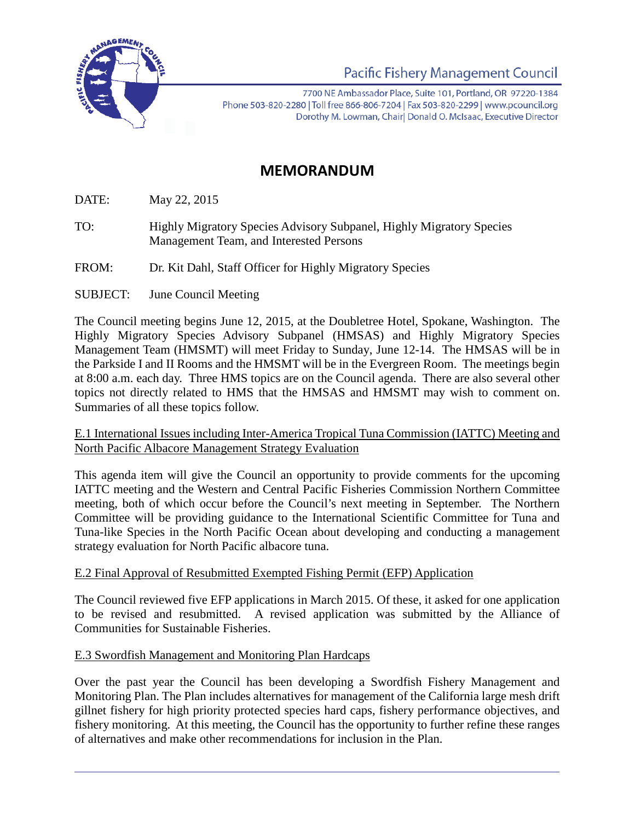

Pacific Fishery Management Council

7700 NE Ambassador Place, Suite 101, Portland, OR 97220-1384 Phone 503-820-2280 | Toll free 866-806-7204 | Fax 503-820-2299 | www.pcouncil.org Dorothy M. Lowman, Chair| Donald O. McIsaac, Executive Director

# **MEMORANDUM**

DATE: May 22, 2015

- TO: Highly Migratory Species Advisory Subpanel, Highly Migratory Species Management Team, and Interested Persons
- FROM: Dr. Kit Dahl, Staff Officer for Highly Migratory Species
- SUBJECT: June Council Meeting

The Council meeting begins June 12, 2015, at the Doubletree Hotel, Spokane, Washington. The Highly Migratory Species Advisory Subpanel (HMSAS) and Highly Migratory Species Management Team (HMSMT) will meet Friday to Sunday, June 12-14. The HMSAS will be in the Parkside I and II Rooms and the HMSMT will be in the Evergreen Room. The meetings begin at 8:00 a.m. each day. Three HMS topics are on the Council agenda. There are also several other topics not directly related to HMS that the HMSAS and HMSMT may wish to comment on. Summaries of all these topics follow.

#### E.1 International Issues including Inter-America Tropical Tuna Commission (IATTC) Meeting and North Pacific Albacore Management Strategy Evaluation

This agenda item will give the Council an opportunity to provide comments for the upcoming IATTC meeting and the Western and Central Pacific Fisheries Commission Northern Committee meeting, both of which occur before the Council's next meeting in September. The Northern Committee will be providing guidance to the International Scientific Committee for Tuna and Tuna-like Species in the North Pacific Ocean about developing and conducting a management strategy evaluation for North Pacific albacore tuna.

## E.2 Final Approval of Resubmitted Exempted Fishing Permit (EFP) Application

The Council reviewed five EFP applications in March 2015. Of these, it asked for one application to be revised and resubmitted. A revised application was submitted by the Alliance of Communities for Sustainable Fisheries.

#### E.3 Swordfish Management and Monitoring Plan Hardcaps

Over the past year the Council has been developing a Swordfish Fishery Management and Monitoring Plan. The Plan includes alternatives for management of the California large mesh drift gillnet fishery for high priority protected species hard caps, fishery performance objectives, and fishery monitoring. At this meeting, the Council has the opportunity to further refine these ranges of alternatives and make other recommendations for inclusion in the Plan.